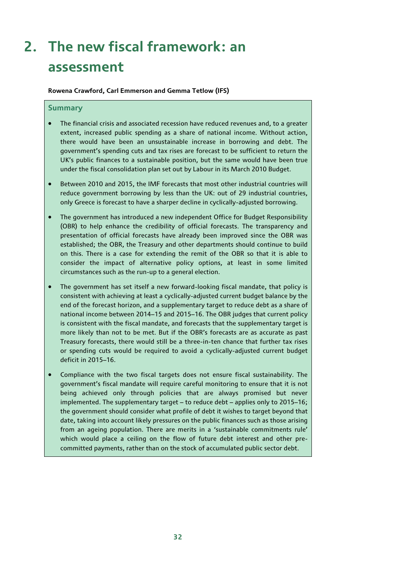# **2. The new fiscal framework: an assessment**

**Rowena Crawford, Carl Emmerson and Gemma Tetlow (IFS)** 

### **Summary**

- The financial crisis and associated recession have reduced revenues and, to a greater extent, increased public spending as a share of national income. Without action, there would have been an unsustainable increase in borrowing and debt. The government's spending cuts and tax rises are forecast to be sufficient to return the UK's public finances to a sustainable position, but the same would have been true under the fiscal consolidation plan set out by Labour in its March 2010 Budget.
- Between 2010 and 2015, the IMF forecasts that most other industrial countries will reduce government borrowing by less than the UK: out of 29 industrial countries, only Greece is forecast to have a sharper decline in cyclically-adjusted borrowing.
- The government has introduced a new independent Office for Budget Responsibility (OBR) to help enhance the credibility of official forecasts. The transparency and presentation of official forecasts have already been improved since the OBR was established; the OBR, the Treasury and other departments should continue to build on this. There is a case for extending the remit of the OBR so that it is able to consider the impact of alternative policy options, at least in some limited circumstances such as the run-up to a general election.
- The government has set itself a new forward-looking fiscal mandate, that policy is consistent with achieving at least a cyclically-adjusted current budget balance by the end of the forecast horizon, and a supplementary target to reduce debt as a share of national income between 2014–15 and 2015–16. The OBR judges that current policy is consistent with the fiscal mandate, and forecasts that the supplementary target is more likely than not to be met. But if the OBR's forecasts are as accurate as past Treasury forecasts, there would still be a three-in-ten chance that further tax rises or spending cuts would be required to avoid a cyclically-adjusted current budget deficit in 2015–16.
- Compliance with the two fiscal targets does not ensure fiscal sustainability. The government's fiscal mandate will require careful monitoring to ensure that it is not being achieved only through policies that are always promised but never implemented. The supplementary target – to reduce debt – applies only to 2015–16; the government should consider what profile of debt it wishes to target beyond that date, taking into account likely pressures on the public finances such as those arising from an ageing population. There are merits in a 'sustainable commitments rule' which would place a ceiling on the flow of future debt interest and other precommitted payments, rather than on the stock of accumulated public sector debt.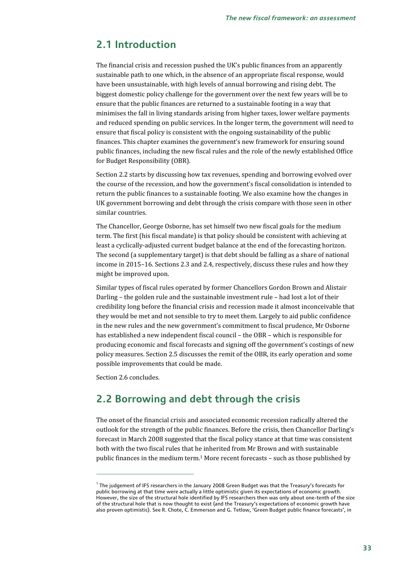## **2.1 Introduction**

The financial crisis and recession pushed the UK's public finances from an apparently sustainable path to one which, in the absence of an appropriate fiscal response, would have been unsustainable, with high levels of annual borrowing and rising debt. The biggest domestic policy challenge for the government over the next few years will be to ensure that the public finances are returned to a sustainable footing in a way that minimises the fall in living standards arising from higher taxes, lower welfare payments and reduced spending on public services. In the longer term, the government will need to ensure that fiscal policy is consistent with the ongoing sustainability of the public finances. This chapter examines the government's new framework for ensuring sound public finances, including the new fiscal rules and the role of the newly established Office for Budget Responsibility (OBR).

Section 2.2 starts by discussing how tax revenues, spending and borrowing evolved over the course of the recession, and how the government's fiscal consolidation is intended to return the public finances to a sustainable footing. We also examine how the changes in UK government borrowing and debt through the crisis compare with those seen in other similar countries.

The Chancellor, George Osborne, has set himself two new fiscal goals for the medium term. The first (his fiscal mandate) is that policy should be consistent with achieving at least a cyclically-adjusted current budget balance at the end of the forecasting horizon. The second (a supplementary target) is that debt should be falling as a share of national income in 2015–16. Sections 2.3 and 2.4, respectively, discuss these rules and how they might be improved upon.

Similar types of fiscal rules operated by former Chancellors Gordon Brown and Alistair Darling – the golden rule and the sustainable investment rule – had lost a lot of their credibility long before the financial crisis and recession made it almost inconceivable that they would be met and not sensible to try to meet them. Largely to aid public confidence in the new rules and the new government's commitment to fiscal prudence, Mr Osborne has established a new independent fiscal council – the OBR – which is responsible for producing economic and fiscal forecasts and signing off the government's costings of new policy measures. Section 2.5 discusses the remit of the OBR, its early operation and some possible improvements that could be made.

Section 2.6 concludes.

1

## **2.2 Borrowing and debt through the crisis**

The onset of the financial crisis and associated economic recession radically altered the outlook for the strength of the public finances. Before the crisis, then Chancellor Darling's forecast in March 2008 suggested that the fiscal policy stance at that time was consistent both with the two fiscal rules that he inherited from Mr Brown and with sustainable public finances in the medium term.1 More recent forecasts – such as those published by

<sup>&</sup>lt;sup>1</sup> The judgement of IFS researchers in the January 2008 Green Budget was that the Treasury's forecasts for public borrowing at that time were actually a little optimistic given its expectations of economic growth. However, the size of the structural hole identified by IFS researchers then was only about one-tenth of the size of the structural hole that is now thought to exist (and the Treasury's expectations of economic growth have also proven optimistic). See R. Chote, C. Emmerson and G. Tetlow, 'Green Budget public finance forecasts', in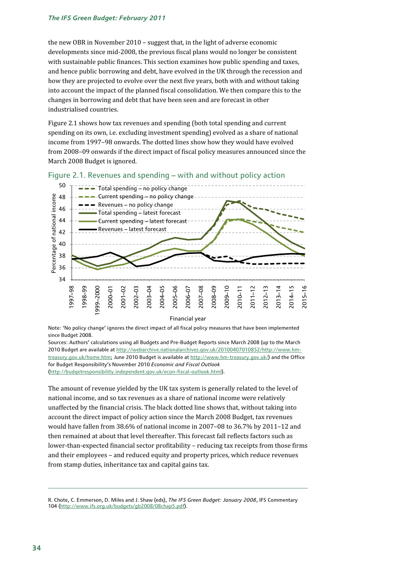the new OBR in November 2010 – suggest that, in the light of adverse economic developments since mid-2008, the previous fiscal plans would no longer be consistent with sustainable public finances. This section examines how public spending and taxes, and hence public borrowing and debt, have evolved in the UK through the recession and how they are projected to evolve over the next five years, both with and without taking into account the impact of the planned fiscal consolidation. We then compare this to the changes in borrowing and debt that have been seen and are forecast in other industrialised countries.

Figure 2.1 shows how tax revenues and spending (both total spending and current spending on its own, i.e. excluding investment spending) evolved as a share of national income from 1997–98 onwards. The dotted lines show how they would have evolved from 2008–09 onwards if the direct impact of fiscal policy measures announced since the March 2008 Budget is ignored.





Financial year

Note: 'No policy change' ignores the direct impact of all fiscal policy measures that have been implemented since Budget 2008.

Sources: Authors' calculations using all Budgets and Pre-Budget Reports since March 2008 (up to the March 2010 Budget are available at http://webarchive.nationalarchives.gov.uk/20100407010852/http://www.hmtreasury.gov.uk/home.htm; June 2010 Budget is available at http://www.hm-treasury.gov.uk/) and the Office for Budget Responsibility's November 2010 *Economic and Fiscal Outlook* (http://budgetresponsibility.independent.gov.uk/econ-fiscal-outlook.html).

The amount of revenue yielded by the UK tax system is generally related to the level of national income, and so tax revenues as a share of national income were relatively unaffected by the financial crisis. The black dotted line shows that, without taking into account the direct impact of policy action since the March 2008 Budget, tax revenues would have fallen from 38.6% of national income in 2007–08 to 36.7% by 2011–12 and then remained at about that level thereafter. This forecast fall reflects factors such as lower-than-expected financial sector profitability – reducing tax receipts from those firms and their employees – and reduced equity and property prices, which reduce revenues from stamp duties, inheritance tax and capital gains tax.

R. Chote, C. Emmerson, D. Miles and J. Shaw (eds), *The IFS Green Budget: January 2008*, IFS Commentary 104 (http://www.ifs.org.uk/budgets/gb2008/08chap5.pdf).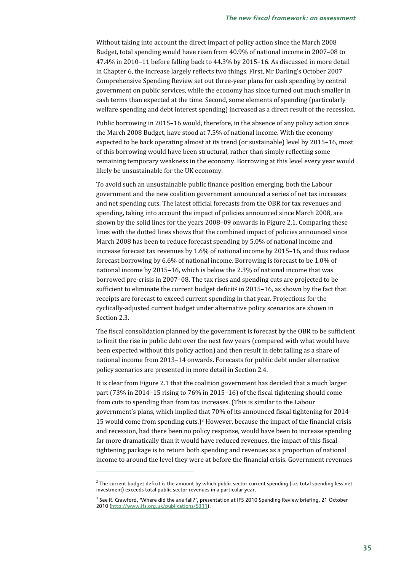Without taking into account the direct impact of policy action since the March 2008 Budget, total spending would have risen from 40.9% of national income in 2007–08 to 47.4% in 2010–11 before falling back to 44.3% by 2015–16. As discussed in more detail in Chapter 6, the increase largely reflects two things. First, Mr Darling's October 2007 Comprehensive Spending Review set out three-year plans for cash spending by central government on public services, while the economy has since turned out much smaller in cash terms than expected at the time. Second, some elements of spending (particularly welfare spending and debt interest spending) increased as a direct result of the recession.

Public borrowing in 2015–16 would, therefore, in the absence of any policy action since the March 2008 Budget, have stood at 7.5% of national income. With the economy expected to be back operating almost at its trend (or sustainable) level by 2015–16, most of this borrowing would have been structural, rather than simply reflecting some remaining temporary weakness in the economy. Borrowing at this level every year would likely be unsustainable for the UK economy.

To avoid such an unsustainable public finance position emerging, both the Labour government and the new coalition government announced a series of net tax increases and net spending cuts. The latest official forecasts from the OBR for tax revenues and spending, taking into account the impact of policies announced since March 2008, are shown by the solid lines for the years 2008–09 onwards in Figure 2.1. Comparing these lines with the dotted lines shows that the combined impact of policies announced since March 2008 has been to reduce forecast spending by 5.0% of national income and increase forecast tax revenues by 1.6% of national income by 2015–16, and thus reduce forecast borrowing by 6.6% of national income. Borrowing is forecast to be 1.0% of national income by 2015–16, which is below the 2.3% of national income that was borrowed pre-crisis in 2007–08. The tax rises and spending cuts are projected to be sufficient to eliminate the current budget deficit<sup>2</sup> in 2015–16, as shown by the fact that receipts are forecast to exceed current spending in that year. Projections for the cyclically-adjusted current budget under alternative policy scenarios are shown in Section 2.3.

The fiscal consolidation planned by the government is forecast by the OBR to be sufficient to limit the rise in public debt over the next few years (compared with what would have been expected without this policy action) and then result in debt falling as a share of national income from 2013–14 onwards. Forecasts for public debt under alternative policy scenarios are presented in more detail in Section 2.4.

It is clear from Figure 2.1 that the coalition government has decided that a much larger part (73% in 2014–15 rising to 76% in 2015–16) of the fiscal tightening should come from cuts to spending than from tax increases. (This is similar to the Labour government's plans, which implied that 70% of its announced fiscal tightening for 2014– 15 would come from spending cuts.)<sup>3</sup> However, because the impact of the financial crisis and recession, had there been no policy response, would have been to increase spending far more dramatically than it would have reduced revenues, the impact of this fiscal tightening package is to return both spending and revenues as a proportion of national income to around the level they were at before the financial crisis. Government revenues

 $^2$  The current budget deficit is the amount by which public sector current spending (i.e. total spending less net investment) exceeds total public sector revenues in a particular year.

<sup>&</sup>lt;sup>3</sup> See R. Crawford, 'Where did the axe fall?', presentation at IFS 2010 Spending Review briefing, 21 October 2010 (http://www.ifs.org.uk/publications/5311).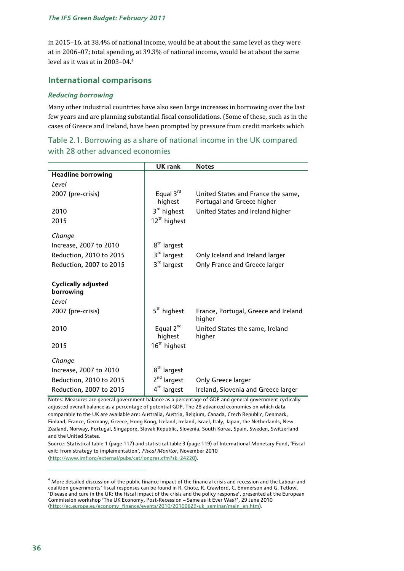in 2015–16, at 38.4% of national income, would be at about the same level as they were at in 2006–07; total spending, at 39.3% of national income, would be at about the same level as it was at in 2003–04.4

## **International comparisons**

### *Reducing borrowing*

Many other industrial countries have also seen large increases in borrowing over the last few years and are planning substantial fiscal consolidations. (Some of these, such as in the cases of Greece and Ireland, have been prompted by pressure from credit markets which

|                                                  | <b>UK rank</b>                   | <b>Notes</b>                                                     |
|--------------------------------------------------|----------------------------------|------------------------------------------------------------------|
| <b>Headline borrowing</b>                        |                                  |                                                                  |
| Level                                            |                                  |                                                                  |
| 2007 (pre-crisis)                                | Equal $3^{rd}$<br>highest        | United States and France the same,<br>Portugal and Greece higher |
| 2010                                             | 3 <sup>rd</sup> highest          | United States and Ireland higher                                 |
| 2015                                             | 12 <sup>th</sup> highest         |                                                                  |
| Change                                           |                                  |                                                                  |
| Increase, 2007 to 2010                           | 8 <sup>th</sup> largest          |                                                                  |
| Reduction, 2010 to 2015                          | 3 <sup>rd</sup> largest          | Only Iceland and Ireland larger                                  |
| Reduction, 2007 to 2015                          | 3 <sup>rd</sup> largest          | Only France and Greece larger                                    |
| <b>Cyclically adjusted</b><br>borrowing<br>Level |                                  |                                                                  |
| 2007 (pre-crisis)                                | 5 <sup>th</sup> highest          | France, Portugal, Greece and Ireland<br>higher                   |
| 2010                                             | Equal 2 <sup>nd</sup><br>highest | United States the same, Ireland<br>higher                        |
| 2015                                             | 16 <sup>th</sup> highest         |                                                                  |
| Change                                           |                                  |                                                                  |
| Increase, 2007 to 2010                           | 8 <sup>th</sup> largest          |                                                                  |
| Reduction, 2010 to 2015                          | 2 <sup>nd</sup> largest          | Only Greece larger                                               |
| Reduction, 2007 to 2015                          | 4 <sup>th</sup> largest          | Ireland, Slovenia and Greece larger                              |

Table 2.1. Borrowing as a share of national income in the UK compared with 28 other advanced economies

Notes: Measures are general government balance as a percentage of GDP and general government cyclically adjusted overall balance as a percentage of potential GDP. The 28 advanced economies on which data comparable to the UK are available are: Australia, Austria, Belgium, Canada, Czech Republic, Denmark, Finland, France, Germany, Greece, Hong Kong, Iceland, Ireland, Israel, Italy, Japan, the Netherlands, New Zealand, Norway, Portugal, Singapore, Slovak Republic, Slovenia, South Korea, Spain, Sweden, Switzerland and the United States.

Source: Statistical table 1 (page 117) and statistical table 3 (page 119) of International Monetary Fund, 'Fiscal exit: from strategy to implementation'*, Fiscal Monitor*, November 2010 (http://www.imf.org/external/pubs/cat/longres.cfm?sk=24220).

 $^4$  More detailed discussion of the public finance impact of the financial crisis and recession and the Labour and coalition governments' fiscal responses can be found in R. Chote, R. Crawford, C. Emmerson and G. Tetlow, 'Disease and cure in the UK: the fiscal impact of the crisis and the policy response', presented at the European Commission workshop 'The UK Economy, Post-Recession – Same as it Ever Was?', 29 June 2010 (http://ec.europa.eu/economy\_finance/events/2010/20100629-uk\_seminar/main\_en.htm).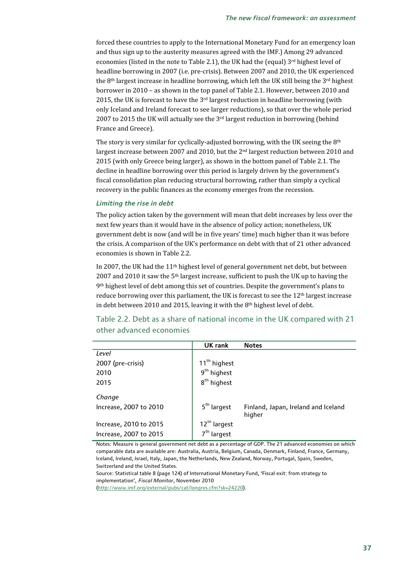forced these countries to apply to the International Monetary Fund for an emergency loan and thus sign up to the austerity measures agreed with the IMF.) Among 29 advanced economies (listed in the note to Table 2.1), the UK had the (equal) 3rd highest level of headline borrowing in 2007 (i.e. pre-crisis). Between 2007 and 2010, the UK experienced the 8<sup>th</sup> largest increase in headline borrowing, which left the UK still being the 3<sup>rd</sup> highest borrower in 2010 – as shown in the top panel of Table 2.1. However, between 2010 and 2015, the UK is forecast to have the 3rd largest reduction in headline borrowing (with only Iceland and Ireland forecast to see larger reductions), so that over the whole period 2007 to 2015 the UK will actually see the 3rd largest reduction in borrowing (behind France and Greece).

The story is very similar for cyclically-adjusted borrowing, with the UK seeing the 8<sup>th</sup> largest increase between 2007 and 2010, but the 2nd largest reduction between 2010 and 2015 (with only Greece being larger), as shown in the bottom panel of Table 2.1. The decline in headline borrowing over this period is largely driven by the government's fiscal consolidation plan reducing structural borrowing, rather than simply a cyclical recovery in the public finances as the economy emerges from the recession.

#### *Limiting the rise in debt*

The policy action taken by the government will mean that debt increases by less over the next few years than it would have in the absence of policy action; nonetheless, UK government debt is now (and will be in five years' time) much higher than it was before the crisis. A comparison of the UK's performance on debt with that of 21 other advanced economies is shown in Table 2.2.

In 2007, the UK had the 11th highest level of general government net debt, but between 2007 and 2010 it saw the 5<sup>th</sup> largest increase, sufficient to push the UK up to having the 9th highest level of debt among this set of countries. Despite the government's plans to reduce borrowing over this parliament, the UK is forecast to see the 12th largest increase in debt between 2010 and 2015, leaving it with the  $8<sup>th</sup>$  highest level of debt.

Table 2.2. Debt as a share of national income in the UK compared with 21 other advanced economies

|                        | UK rank                  | <b>Notes</b>                                  |
|------------------------|--------------------------|-----------------------------------------------|
| Level                  |                          |                                               |
| 2007 (pre-crisis)      | 11 <sup>th</sup> highest |                                               |
| 2010                   | $9th$ highest            |                                               |
| 2015                   | 8 <sup>th</sup> highest  |                                               |
| Change                 |                          |                                               |
| Increase, 2007 to 2010 | 5 <sup>th</sup> largest  | Finland, Japan, Ireland and Iceland<br>higher |
| Increase, 2010 to 2015 | 12 <sup>th</sup> largest |                                               |
| Increase, 2007 to 2015 | 7 <sup>th</sup> largest  |                                               |

Notes: Measure is general government net debt as a percentage of GDP. The 21 advanced economies on which comparable data are available are: Australia, Austria, Belgium, Canada, Denmark, Finland, France, Germany, Iceland, Ireland, Israel, Italy, Japan, the Netherlands, New Zealand, Norway, Portugal, Spain, Sweden, Switzerland and the United States.

Source: Statistical table 8 (page 124) of International Monetary Fund, 'Fiscal exit: from strategy to implementation'*, Fiscal Monitor*, November 2010

(http://www.imf.org/external/pubs/cat/longres.cfm?sk=24220).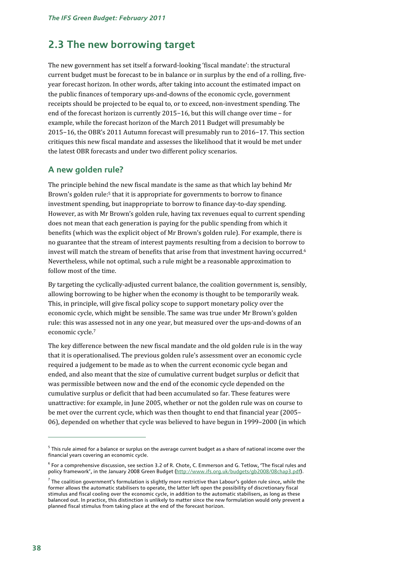## **2.3 The new borrowing target**

The new government has set itself a forward-looking 'fiscal mandate': the structural current budget must be forecast to be in balance or in surplus by the end of a rolling, fiveyear forecast horizon. In other words, after taking into account the estimated impact on the public finances of temporary ups-and-downs of the economic cycle, government receipts should be projected to be equal to, or to exceed, non-investment spending. The end of the forecast horizon is currently 2015−16, but this will change over time – for example, while the forecast horizon of the March 2011 Budget will presumably be 2015−16, the OBR's 2011 Autumn forecast will presumably run to 2016−17. This section critiques this new fiscal mandate and assesses the likelihood that it would be met under the latest OBR forecasts and under two different policy scenarios.

## **A new golden rule?**

The principle behind the new fiscal mandate is the same as that which lay behind Mr Brown's golden rule:<sup>5</sup> that it is appropriate for governments to borrow to finance investment spending, but inappropriate to borrow to finance day-to-day spending. However, as with Mr Brown's golden rule, having tax revenues equal to current spending does not mean that each generation is paying for the public spending from which it benefits (which was the explicit object of Mr Brown's golden rule). For example, there is no guarantee that the stream of interest payments resulting from a decision to borrow to invest will match the stream of benefits that arise from that investment having occurred.<sup>6</sup> Nevertheless, while not optimal, such a rule might be a reasonable approximation to follow most of the time.

By targeting the cyclically-adjusted current balance, the coalition government is, sensibly, allowing borrowing to be higher when the economy is thought to be temporarily weak. This, in principle, will give fiscal policy scope to support monetary policy over the economic cycle, which might be sensible. The same was true under Mr Brown's golden rule: this was assessed not in any one year, but measured over the ups-and-downs of an economic cycle.7

The key difference between the new fiscal mandate and the old golden rule is in the way that it is operationalised. The previous golden rule's assessment over an economic cycle required a judgement to be made as to when the current economic cycle began and ended, and also meant that the size of cumulative current budget surplus or deficit that was permissible between now and the end of the economic cycle depended on the cumulative surplus or deficit that had been accumulated so far. These features were unattractive: for example, in June 2005, whether or not the golden rule was on course to be met over the current cycle, which was then thought to end that financial year (2005– 06), depended on whether that cycle was believed to have begun in 1999–2000 (in which

 $^5$  This rule aimed for a balance or surplus on the average current budget as a share of national income over the financial years covering an economic cycle.

<sup>6</sup> For a comprehensive discussion, see section 3.2 of R. Chote, C. Emmerson and G. Tetlow, 'The fiscal rules and policy framework', in the January 2008 Green Budget (http://www.ifs.org.uk/budgets/gb2008/08chap3.pdf).

 $^7$  The coalition government's formulation is slightly more restrictive than Labour's golden rule since, while the former allows the automatic stabilisers to operate, the latter left open the possibility of discretionary fiscal stimulus and fiscal cooling over the economic cycle, in addition to the automatic stabilisers, as long as these balanced out. In practice, this distinction is unlikely to matter since the new formulation would only prevent a planned fiscal stimulus from taking place at the end of the forecast horizon.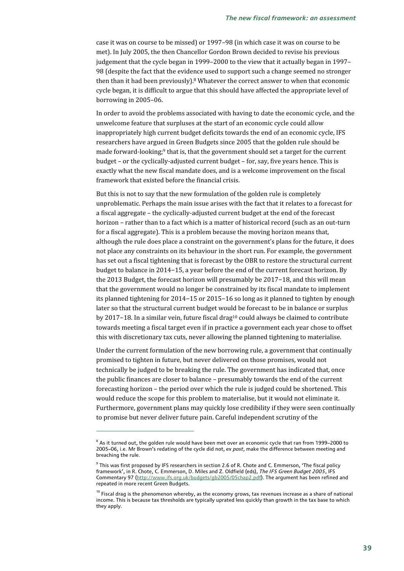case it was on course to be missed) or 1997–98 (in which case it was on course to be met). In July 2005, the then Chancellor Gordon Brown decided to revise his previous judgement that the cycle began in 1999–2000 to the view that it actually began in 1997– 98 (despite the fact that the evidence used to support such a change seemed no stronger then than it had been previously).<sup>8</sup> Whatever the correct answer to when that economic cycle began, it is difficult to argue that this should have affected the appropriate level of borrowing in 2005–06.

In order to avoid the problems associated with having to date the economic cycle, and the unwelcome feature that surpluses at the start of an economic cycle could allow inappropriately high current budget deficits towards the end of an economic cycle, IFS researchers have argued in Green Budgets since 2005 that the golden rule should be made forward-looking;<sup>9</sup> that is, that the government should set a target for the current budget – or the cyclically-adjusted current budget – for, say, five years hence. This is exactly what the new fiscal mandate does, and is a welcome improvement on the fiscal framework that existed before the financial crisis.

But this is not to say that the new formulation of the golden rule is completely unproblematic. Perhaps the main issue arises with the fact that it relates to a forecast for a fiscal aggregate – the cyclically-adjusted current budget at the end of the forecast horizon – rather than to a fact which is a matter of historical record (such as an out-turn for a fiscal aggregate). This is a problem because the moving horizon means that, although the rule does place a constraint on the government's plans for the future, it does not place any constraints on its behaviour in the short run. For example, the government has set out a fiscal tightening that is forecast by the OBR to restore the structural current budget to balance in 2014−15, a year before the end of the current forecast horizon. By the 2013 Budget, the forecast horizon will presumably be 2017−18, and this will mean that the government would no longer be constrained by its fiscal mandate to implement its planned tightening for 2014−15 or 2015−16 so long as it planned to tighten by enough later so that the structural current budget would be forecast to be in balance or surplus by 2017−18. In a similar vein, future fiscal drag10 could always be claimed to contribute towards meeting a fiscal target even if in practice a government each year chose to offset this with discretionary tax cuts, never allowing the planned tightening to materialise.

Under the current formulation of the new borrowing rule, a government that continually promised to tighten in future, but never delivered on those promises, would not technically be judged to be breaking the rule. The government has indicated that, once the public finances are closer to balance – presumably towards the end of the current forecasting horizon – the period over which the rule is judged could be shortened. This would reduce the scope for this problem to materialise, but it would not eliminate it. Furthermore, government plans may quickly lose credibility if they were seen continually to promise but never deliver future pain. Careful independent scrutiny of the

 $^{\rm 8}$  As it turned out, the golden rule would have been met over an economic cycle that ran from 1999–2000 to 2005–06, i.e. Mr Brown's redating of the cycle did not, *ex post*, make the difference between meeting and breaching the rule.

 $^9$  This was first proposed by IFS researchers in section 2.6 of R. Chote and C. Emmerson, 'The fiscal policy framework', in R. Chote, C. Emmerson, D. Miles and Z. Oldfield (eds), *The IFS Green Budget 2005*, IFS Commentary 97 (http://www.ifs.org.uk/budgets/gb2005/05chap2.pdf). The argument has been refined and repeated in more recent Green Budgets.

 $10$  Fiscal drag is the phenomenon whereby, as the economy grows, tax revenues increase as a share of national income. This is because tax thresholds are typically uprated less quickly than growth in the tax base to which they apply.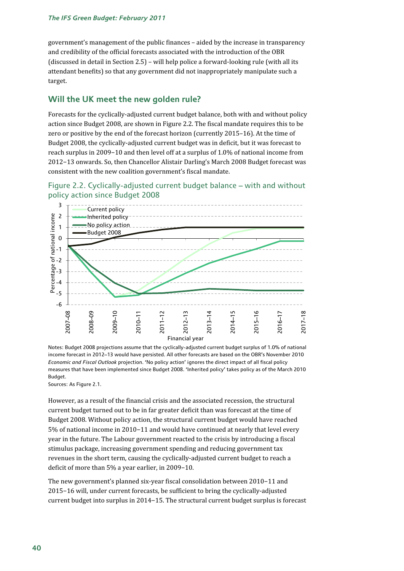government's management of the public finances – aided by the increase in transparency and credibility of the official forecasts associated with the introduction of the OBR (discussed in detail in Section 2.5) – will help police a forward-looking rule (with all its attendant benefits) so that any government did not inappropriately manipulate such a target.

## **Will the UK meet the new golden rule?**

Forecasts for the cyclically-adjusted current budget balance, both with and without policy action since Budget 2008, are shown in Figure 2.2. The fiscal mandate requires this to be zero or positive by the end of the forecast horizon (currently 2015–16). At the time of Budget 2008, the cyclically-adjusted current budget was in deficit, but it was forecast to reach surplus in 2009−10 and then level off at a surplus of 1.0% of national income from 2012−13 onwards. So, then Chancellor Alistair Darling's March 2008 Budget forecast was consistent with the new coalition government's fiscal mandate.





Notes: Budget 2008 projections assume that the cyclically-adjusted current budget surplus of 1.0% of national income forecast in 2012–13 would have persisted. All other forecasts are based on the OBR's November 2010 *Economic and Fiscal Outlook* projection. 'No policy action' ignores the direct impact of all fiscal policy measures that have been implemented since Budget 2008. 'Inherited policy' takes policy as of the March 2010 Budget.

Sources: As Figure 2.1.

However, as a result of the financial crisis and the associated recession, the structural current budget turned out to be in far greater deficit than was forecast at the time of Budget 2008. Without policy action, the structural current budget would have reached 5% of national income in 2010−11 and would have continued at nearly that level every year in the future. The Labour government reacted to the crisis by introducing a fiscal stimulus package, increasing government spending and reducing government tax revenues in the short term, causing the cyclically-adjusted current budget to reach a deficit of more than 5% a year earlier, in 2009−10.

The new government's planned six-year fiscal consolidation between 2010−11 and 2015−16 will, under current forecasts, be sufficient to bring the cyclically-adjusted current budget into surplus in 2014−15. The structural current budget surplus is forecast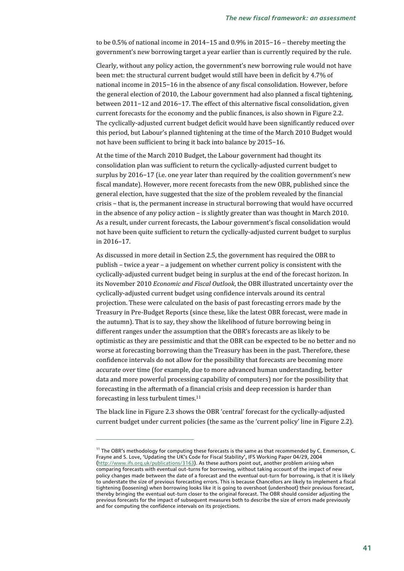to be 0.5% of national income in 2014−15 and 0.9% in 2015−16 – thereby meeting the government's new borrowing target a year earlier than is currently required by the rule.

Clearly, without any policy action, the government's new borrowing rule would not have been met: the structural current budget would still have been in deficit by 4.7% of national income in 2015−16 in the absence of any fiscal consolidation. However, before the general election of 2010, the Labour government had also planned a fiscal tightening, between 2011−12 and 2016−17. The effect of this alternative fiscal consolidation, given current forecasts for the economy and the public finances, is also shown in Figure 2.2. The cyclically-adjusted current budget deficit would have been significantly reduced over this period, but Labour's planned tightening at the time of the March 2010 Budget would not have been sufficient to bring it back into balance by 2015−16.

At the time of the March 2010 Budget, the Labour government had thought its consolidation plan was sufficient to return the cyclically-adjusted current budget to surplus by 2016−17 (i.e. one year later than required by the coalition government's new fiscal mandate). However, more recent forecasts from the new OBR, published since the general election, have suggested that the size of the problem revealed by the financial crisis – that is, the permanent increase in structural borrowing that would have occurred in the absence of any policy action – is slightly greater than was thought in March 2010. As a result, under current forecasts, the Labour government's fiscal consolidation would not have been quite sufficient to return the cyclically-adjusted current budget to surplus in 2016–17.

As discussed in more detail in Section 2.5, the government has required the OBR to publish – twice a year – a judgement on whether current policy is consistent with the cyclically-adjusted current budget being in surplus at the end of the forecast horizon. In its November 2010 *Economic and Fiscal Outlook*, the OBR illustrated uncertainty over the cyclically-adjusted current budget using confidence intervals around its central projection. These were calculated on the basis of past forecasting errors made by the Treasury in Pre-Budget Reports (since these, like the latest OBR forecast, were made in the autumn). That is to say, they show the likelihood of future borrowing being in different ranges under the assumption that the OBR's forecasts are as likely to be optimistic as they are pessimistic and that the OBR can be expected to be no better and no worse at forecasting borrowing than the Treasury has been in the past. Therefore, these confidence intervals do not allow for the possibility that forecasts are becoming more accurate over time (for example, due to more advanced human understanding, better data and more powerful processing capability of computers) nor for the possibility that forecasting in the aftermath of a financial crisis and deep recession is harder than forecasting in less turbulent times.11

The black line in Figure 2.3 shows the OBR 'central' forecast for the cyclically-adjusted current budget under current policies (the same as the 'current policy' line in Figure 2.2).

 $11$  The OBR's methodology for computing these forecasts is the same as that recommended by C. Emmerson, C. Frayne and S. Love, 'Updating the UK's Code for Fiscal Stability', IFS Working Paper 04/29, 2004 (http://www.ifs.org.uk/publications/3163). As these authors point out, another problem arising when comparing forecasts with eventual out-turns for borrowing, without taking account of the impact of new policy changes made between the date of a forecast and the eventual out-turn for borrowing, is that it is likely to understate the size of previous forecasting errors. This is because Chancellors are likely to implement a fiscal tightening (loosening) when borrowing looks like it is going to overshoot (undershoot) their previous forecast, thereby bringing the eventual out-turn closer to the original forecast. The OBR should consider adjusting the previous forecasts for the impact of subsequent measures both to describe the size of errors made previously and for computing the confidence intervals on its projections.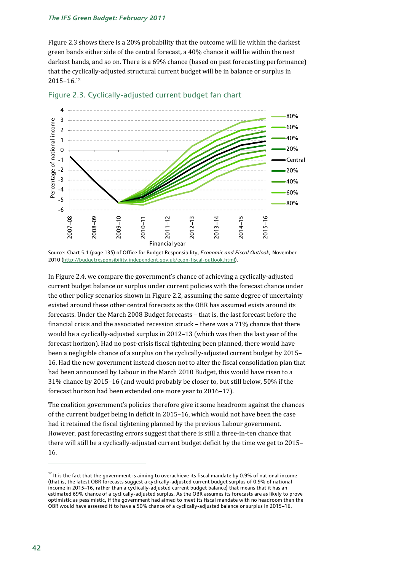Figure 2.3 shows there is a 20% probability that the outcome will lie within the darkest green bands either side of the central forecast, a 40% chance it will lie within the next darkest bands, and so on. There is a 69% chance (based on past forecasting performance) that the cyclically-adjusted structural current budget will be in balance or surplus in 2015−16.12





In Figure 2.4, we compare the government's chance of achieving a cyclically-adjusted current budget balance or surplus under current policies with the forecast chance under the other policy scenarios shown in Figure 2.2, assuming the same degree of uncertainty existed around these other central forecasts as the OBR has assumed exists around its forecasts. Under the March 2008 Budget forecasts – that is, the last forecast before the financial crisis and the associated recession struck – there was a 71% chance that there would be a cyclically-adjusted surplus in 2012–13 (which was then the last year of the forecast horizon). Had no post-crisis fiscal tightening been planned, there would have been a negligible chance of a surplus on the cyclically-adjusted current budget by 2015– 16. Had the new government instead chosen not to alter the fiscal consolidation plan that had been announced by Labour in the March 2010 Budget, this would have risen to a 31% chance by 2015–16 (and would probably be closer to, but still below, 50% if the forecast horizon had been extended one more year to 2016–17).

The coalition government's policies therefore give it some headroom against the chances of the current budget being in deficit in 2015–16, which would not have been the case had it retained the fiscal tightening planned by the previous Labour government. However, past forecasting errors suggest that there is still a three-in-ten chance that there will still be a cyclically-adjusted current budget deficit by the time we get to 2015– 16.

Source: Chart 5.1 (page 135) of Office for Budget Responsibility, *Economic and Fiscal Outlook,* November 2010 (http://budgetresponsibility.independent.gov.uk/econ-fiscal-outlook.html).

 $12$  It is the fact that the government is aiming to overachieve its fiscal mandate by 0.9% of national income (that is, the latest OBR forecasts suggest a cyclically-adjusted current budget surplus of 0.9% of national income in 2015–16, rather than a cyclically-adjusted current budget balance) that means that it has an estimated 69% chance of a cyclically-adjusted surplus. As the OBR assumes its forecasts are as likely to prove optimistic as pessimistic, if the government had aimed to meet its fiscal mandate with no headroom then the OBR would have assessed it to have a 50% chance of a cyclically-adjusted balance or surplus in 2015–16.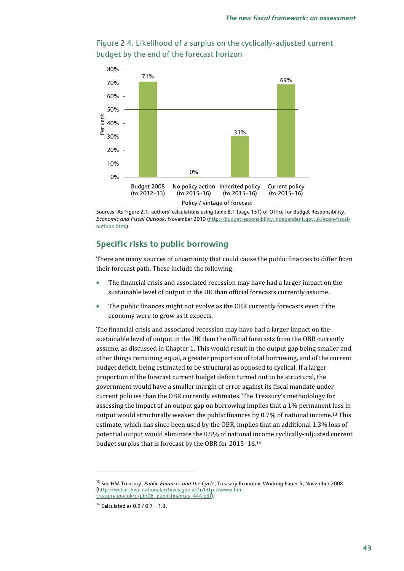



Sources: As Figure 2.1; authors' calculations using table B.1 (page 151) of Office for Budget Responsibility, *Economic and Fiscal Outlook,* November 2010 (http://budgetresponsibility.independent.gov.uk/econ-fiscaloutlook.html).

## **Specific risks to public borrowing**

There are many sources of uncertainty that could cause the public finances to differ from their forecast path. These include the following:

- The financial crisis and associated recession may have had a larger impact on the sustainable level of output in the UK than official forecasts currently assume.
- The public finances might not evolve as the OBR currently forecasts even if the economy were to grow as it expects.

The financial crisis and associated recession may have had a larger impact on the sustainable level of output in the UK than the official forecasts from the OBR currently assume, as discussed in Chapter 1. This would result in the output gap being smaller and, other things remaining equal, a greater proportion of total borrowing, and of the current budget deficit, being estimated to be structural as opposed to cyclical. If a larger proportion of the forecast current budget deficit turned out to be structural, the government would have a smaller margin of error against its fiscal mandate under current policies than the OBR currently estimates. The Treasury's methodology for assessing the impact of an output gap on borrowing implies that a 1% permanent loss in output would structurally weaken the public finances by 0.7% of national income.13 This estimate, which has since been used by the OBR, implies that an additional 1.3% loss of potential output would eliminate the 0.9% of national income cyclically-adjusted current budget surplus that is forecast by the OBR for 2015–16.14

<sup>&</sup>lt;sup>13</sup> See HM Treasury, *Public Finances and the Cycle*, Treasury Economic Working Paper 5, November 2008 (http://webarchive.nationalarchives.gov.uk/+/http://www.hmtreasury.gov.uk/d/pbr08\_publicfinances\_444.pdf).

 $14$  Calculated as 0.9 / 0.7 = 1.3.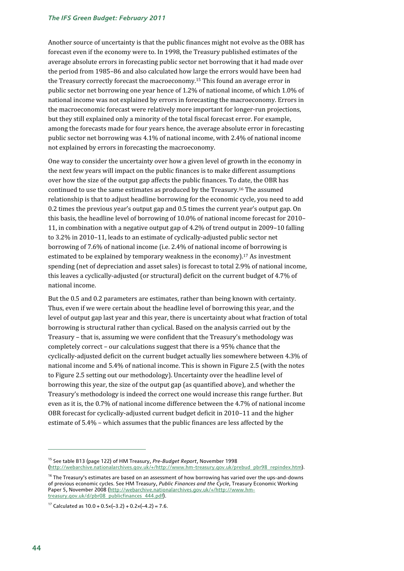Another source of uncertainty is that the public finances might not evolve as the OBR has forecast even if the economy were to. In 1998, the Treasury published estimates of the average absolute errors in forecasting public sector net borrowing that it had made over the period from 1985–86 and also calculated how large the errors would have been had the Treasury correctly forecast the macroeconomy.15 This found an average error in public sector net borrowing one year hence of 1.2% of national income, of which 1.0% of national income was not explained by errors in forecasting the macroeconomy. Errors in the macroeconomic forecast were relatively more important for longer-run projections, but they still explained only a minority of the total fiscal forecast error. For example, among the forecasts made for four years hence, the average absolute error in forecasting public sector net borrowing was 4.1% of national income, with 2.4% of national income not explained by errors in forecasting the macroeconomy.

One way to consider the uncertainty over how a given level of growth in the economy in the next few years will impact on the public finances is to make different assumptions over how the size of the output gap affects the public finances. To date, the OBR has continued to use the same estimates as produced by the Treasury.16 The assumed relationship is that to adjust headline borrowing for the economic cycle, you need to add 0.2 times the previous year's output gap and 0.5 times the current year's output gap. On this basis, the headline level of borrowing of 10.0% of national income forecast for 2010– 11, in combination with a negative output gap of 4.2% of trend output in 2009–10 falling to 3.2% in 2010–11, leads to an estimate of cyclically-adjusted public sector net borrowing of 7.6% of national income (i.e. 2.4% of national income of borrowing is estimated to be explained by temporary weakness in the economy).<sup>17</sup> As investment spending (net of depreciation and asset sales) is forecast to total 2.9% of national income, this leaves a cyclically-adjusted (or structural) deficit on the current budget of 4.7% of national income.

But the 0.5 and 0.2 parameters are estimates, rather than being known with certainty. Thus, even if we were certain about the headline level of borrowing this year, and the level of output gap last year and this year, there is uncertainty about what fraction of total borrowing is structural rather than cyclical. Based on the analysis carried out by the Treasury – that is, assuming we were confident that the Treasury's methodology was completely correct – our calculations suggest that there is a 95% chance that the cyclically-adjusted deficit on the current budget actually lies somewhere between 4.3% of national income and 5.4% of national income. This is shown in Figure 2.5 (with the notes to Figure 2.5 setting out our methodology). Uncertainty over the headline level of borrowing this year, the size of the output gap (as quantified above), and whether the Treasury's methodology is indeed the correct one would increase this range further. But even as it is, the 0.7% of national income difference between the 4.7% of national income OBR forecast for cyclically-adjusted current budget deficit in 2010–11 and the higher estimate of 5.4% – which assumes that the public finances are less affected by the

<sup>15</sup> See table B13 (page 122) of HM Treasury, *Pre-Budget Report*, November 1998 (http://webarchive.nationalarchives.gov.uk/+/http://www.hm-treasury.gov.uk/prebud\_pbr98\_repindex.htm).

 $16$  The Treasury's estimates are based on an assessment of how borrowing has varied over the ups-and-downs of previous economic cycles. See HM Treasury, *Public Finances and the Cycle*, Treasury Economic Working Paper 5, November 2008 (http://webarchive.nationalarchives.gov.uk/+/http://www.hmtreasury.gov.uk/d/pbr08\_publicfinances\_444.pdf).

<sup>&</sup>lt;sup>17</sup> Calculated as  $10.0 + 0.5 \times (-3.2) + 0.2 \times (-4.2) = 7.6$ .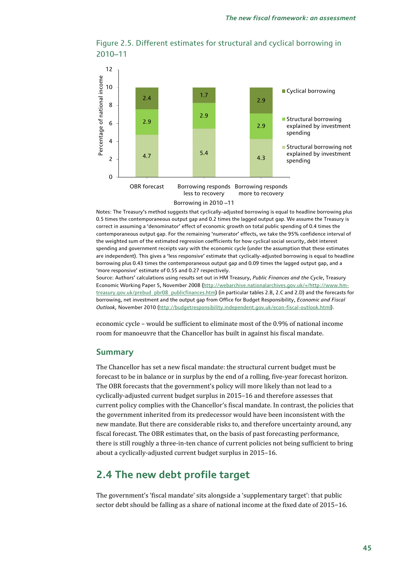



Notes: The Treasury's method suggests that cyclically-adjusted borrowing is equal to headline borrowing plus 0.5 times the contemporaneous output gap and 0.2 times the lagged output gap. We assume the Treasury is correct in assuming a 'denominator' effect of economic growth on total public spending of 0.4 times the contemporaneous output gap. For the remaining 'numerator' effects, we take the 95% confidence interval of the weighted sum of the estimated regression coefficients for how cyclical social security, debt interest spending and government receipts vary with the economic cycle (under the assumption that these estimates are independent). This gives a 'less responsive' estimate that cyclically-adjusted borrowing is equal to headline borrowing plus 0.43 times the contemporaneous output gap and 0.09 times the lagged output gap, and a 'more responsive' estimate of 0.55 and 0.27 respectively.

Source: Authors' calculations using results set out in HM Treasury, *Public Finances and the Cycle*, Treasury Economic Working Paper 5, November 2008 (http://webarchive.nationalarchives.gov.uk/+/http://www.hmtreasury.gov.uk/prebud\_pbr08\_publicfinances.htm) (in particular tables 2.B, 2.C and 2.D) and the forecasts for borrowing, net investment and the output gap from Office for Budget Responsibility, *Economic and Fiscal Outlook,* November 2010 (http://budgetresponsibility.independent.gov.uk/econ-fiscal-outlook.html).

economic cycle – would be sufficient to eliminate most of the 0.9% of national income room for manoeuvre that the Chancellor has built in against his fiscal mandate.

## **Summary**

The Chancellor has set a new fiscal mandate: the structural current budget must be forecast to be in balance or in surplus by the end of a rolling, five-year forecast horizon. The OBR forecasts that the government's policy will more likely than not lead to a cyclically-adjusted current budget surplus in 2015–16 and therefore assesses that current policy complies with the Chancellor's fiscal mandate. In contrast, the policies that the government inherited from its predecessor would have been inconsistent with the new mandate. But there are considerable risks to, and therefore uncertainty around, any fiscal forecast. The OBR estimates that, on the basis of past forecasting performance, there is still roughly a three-in-ten chance of current policies not being sufficient to bring about a cyclically-adjusted current budget surplus in 2015–16.

## **2.4 The new debt profile target**

The government's 'fiscal mandate' sits alongside a 'supplementary target': that public sector debt should be falling as a share of national income at the fixed date of 2015−16.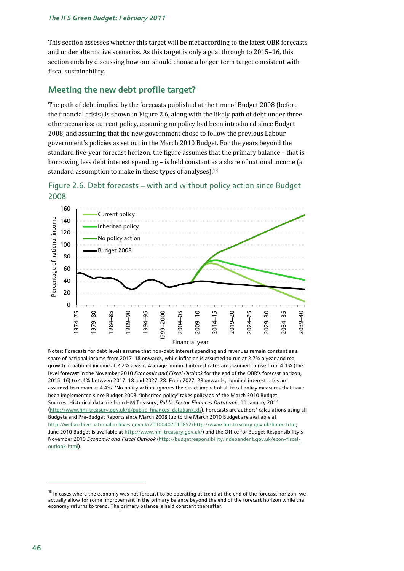This section assesses whether this target will be met according to the latest OBR forecasts and under alternative scenarios. As this target is only a goal through to 2015–16, this section ends by discussing how one should choose a longer-term target consistent with fiscal sustainability.

## **Meeting the new debt profile target?**

The path of debt implied by the forecasts published at the time of Budget 2008 (before the financial crisis) is shown in Figure 2.6, along with the likely path of debt under three other scenarios: current policy, assuming no policy had been introduced since Budget 2008, and assuming that the new government chose to follow the previous Labour government's policies as set out in the March 2010 Budget. For the years beyond the standard five-year forecast horizon, the figure assumes that the primary balance – that is, borrowing less debt interest spending – is held constant as a share of national income (a standard assumption to make in these types of analyses).<sup>18</sup>





Notes: Forecasts for debt levels assume that non-debt interest spending and revenues remain constant as a share of national income from 2017–18 onwards, while inflation is assumed to run at 2.7% a year and real growth in national income at 2.2% a year. Average nominal interest rates are assumed to rise from 4.1% (the level forecast in the November 2010 *Economic and Fiscal Outlook* for the end of the OBR's forecast horizon, 2015–16) to 4.4% between 2017–18 and 2027–28. From 2027–28 onwards, nominal interest rates are assumed to remain at 4.4%. 'No policy action' ignores the direct impact of all fiscal policy measures that have been implemented since Budget 2008. 'Inherited policy' takes policy as of the March 2010 Budget. Sources: Historical data are from HM Treasury, *Public Sector Finances Databank*, 11 January 2011 (http://www.hm-treasury.gov.uk/d/public\_finances\_databank.xls). Forecasts are authors' calculations using all Budgets and Pre-Budget Reports since March 2008 (up to the March 2010 Budget are available at http://webarchive.nationalarchives.gov.uk/20100407010852/http://www.hm-treasury.gov.uk/home.htm; June 2010 Budget is available at http://www.hm-treasury.gov.uk/) and the Office for Budget Responsibility's November 2010 *Economic and Fiscal Outlook* (http://budgetresponsibility.independent.gov.uk/econ-fiscaloutlook.html).

 $18$  In cases where the economy was not forecast to be operating at trend at the end of the forecast horizon, we actually allow for some improvement in the primary balance beyond the end of the forecast horizon while the economy returns to trend. The primary balance is held constant thereafter.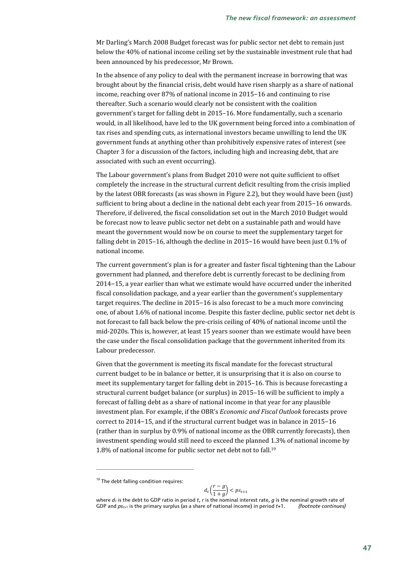Mr Darling's March 2008 Budget forecast was for public sector net debt to remain just below the 40% of national income ceiling set by the sustainable investment rule that had been announced by his predecessor, Mr Brown.

In the absence of any policy to deal with the permanent increase in borrowing that was brought about by the financial crisis, debt would have risen sharply as a share of national income, reaching over 87% of national income in 2015−16 and continuing to rise thereafter. Such a scenario would clearly not be consistent with the coalition government's target for falling debt in 2015–16. More fundamentally, such a scenario would, in all likelihood, have led to the UK government being forced into a combination of tax rises and spending cuts, as international investors became unwilling to lend the UK government funds at anything other than prohibitively expensive rates of interest (see Chapter 3 for a discussion of the factors, including high and increasing debt, that are associated with such an event occurring).

The Labour government's plans from Budget 2010 were not quite sufficient to offset completely the increase in the structural current deficit resulting from the crisis implied by the latest OBR forecasts (as was shown in Figure 2.2), but they would have been (just) sufficient to bring about a decline in the national debt each year from 2015−16 onwards. Therefore, if delivered, the fiscal consolidation set out in the March 2010 Budget would be forecast now to leave public sector net debt on a sustainable path and would have meant the government would now be on course to meet the supplementary target for falling debt in 2015–16, although the decline in 2015−16 would have been just 0.1% of national income.

The current government's plan is for a greater and faster fiscal tightening than the Labour government had planned, and therefore debt is currently forecast to be declining from 2014−15, a year earlier than what we estimate would have occurred under the inherited fiscal consolidation package, and a year earlier than the government's supplementary target requires. The decline in 2015−16 is also forecast to be a much more convincing one, of about 1.6% of national income. Despite this faster decline, public sector net debt is not forecast to fall back below the pre-crisis ceiling of 40% of national income until the mid-2020s. This is, however, at least 15 years sooner than we estimate would have been the case under the fiscal consolidation package that the government inherited from its Labour predecessor.

Given that the government is meeting its fiscal mandate for the forecast structural current budget to be in balance or better, it is unsurprising that it is also on course to meet its supplementary target for falling debt in 2015–16. This is because forecasting a structural current budget balance (or surplus) in 2015–16 will be sufficient to imply a forecast of falling debt as a share of national income in that year for any plausible investment plan. For example, if the OBR's *Economic and Fiscal Outlook* forecasts prove correct to 2014−15, and if the structural current budget was in balance in 2015−16 (rather than in surplus by 0.9% of national income as the OBR currently forecasts), then investment spending would still need to exceed the planned 1.3% of national income by 1.8% of national income for public sector net debt not to fall.19

$$
d_t\left(\frac{r-g}{1+g}\right) < p_{s_{t+1}}
$$

<sup>&</sup>lt;sup>19</sup> The debt falling condition requires:

where  $d_t$  is the debt to GDP ratio in period *t*, *r* is the nominal interest rate, *g* is the nominal growth rate of GDP and *pst*+1 is the primary surplus (as a share of national income) in period *t*+1. *(footnote continues)*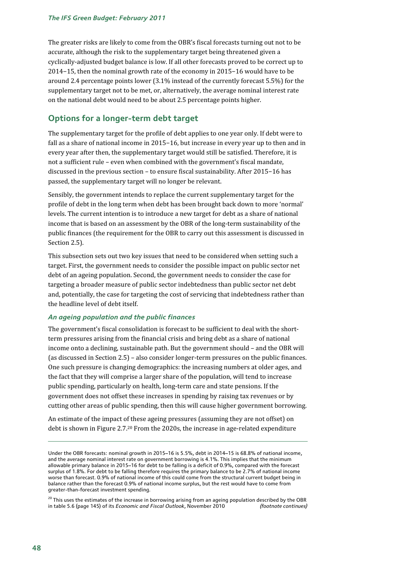The greater risks are likely to come from the OBR's fiscal forecasts turning out not to be accurate, although the risk to the supplementary target being threatened given a cyclically-adjusted budget balance is low. If all other forecasts proved to be correct up to 2014−15, then the nominal growth rate of the economy in 2015−16 would have to be around 2.4 percentage points lower (3.1% instead of the currently forecast 5.5%) for the supplementary target not to be met, or, alternatively, the average nominal interest rate on the national debt would need to be about 2.5 percentage points higher.

## **Options for a longer-term debt target**

The supplementary target for the profile of debt applies to one year only. If debt were to fall as a share of national income in 2015−16, but increase in every year up to then and in every year after then, the supplementary target would still be satisfied. Therefore, it is not a sufficient rule – even when combined with the government's fiscal mandate, discussed in the previous section – to ensure fiscal sustainability. After 2015−16 has passed, the supplementary target will no longer be relevant.

Sensibly, the government intends to replace the current supplementary target for the profile of debt in the long term when debt has been brought back down to more 'normal' levels. The current intention is to introduce a new target for debt as a share of national income that is based on an assessment by the OBR of the long-term sustainability of the public finances (the requirement for the OBR to carry out this assessment is discussed in Section 2.5).

This subsection sets out two key issues that need to be considered when setting such a target. First, the government needs to consider the possible impact on public sector net debt of an ageing population. Second, the government needs to consider the case for targeting a broader measure of public sector indebtedness than public sector net debt and, potentially, the case for targeting the cost of servicing that indebtedness rather than the headline level of debt itself.

### *An ageing population and the public finances*

The government's fiscal consolidation is forecast to be sufficient to deal with the shortterm pressures arising from the financial crisis and bring debt as a share of national income onto a declining, sustainable path. But the government should – and the OBR will (as discussed in Section 2.5) – also consider longer-term pressures on the public finances. One such pressure is changing demographics: the increasing numbers at older ages, and the fact that they will comprise a larger share of the population, will tend to increase public spending, particularly on health, long-term care and state pensions. If the government does not offset these increases in spending by raising tax revenues or by cutting other areas of public spending, then this will cause higher government borrowing.

An estimate of the impact of these ageing pressures (assuming they are not offset) on debt is shown in Figure 2.7.20 From the 2020s, the increase in age-related expenditure

Under the OBR forecasts: nominal growth in 2015−16 is 5.5%, debt in 2014−15 is 68.8% of national income, and the average nominal interest rate on government borrowing is 4.1%. This implies that the minimum allowable primary balance in 2015−16 for debt to be falling is a deficit of 0.9%, compared with the forecast surplus of 1.8%. For debt to be falling therefore requires the primary balance to be 2.7% of national income worse than forecast. 0.9% of national income of this could come from the structural current budget being in balance rather than the forecast 0.9% of national income surplus, but the rest would have to come from greater-than-forecast investment spending.

<sup>&</sup>lt;sup>20</sup> This uses the estimates of the increase in borrowing arising from an ageing population described by the OBR in table 5.6 (page 145) of its *Economic and Fiscal Outlook*, November 2010 *(footnote continues)*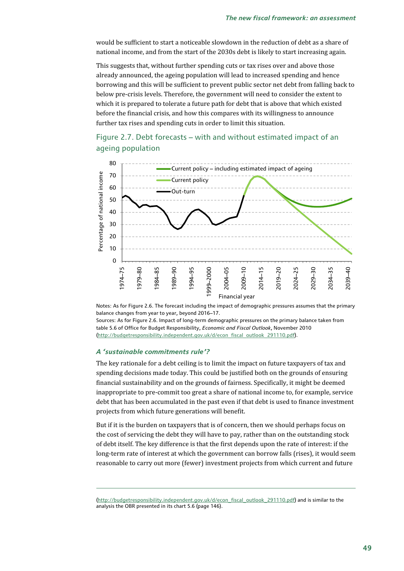would be sufficient to start a noticeable slowdown in the reduction of debt as a share of national income, and from the start of the 2030s debt is likely to start increasing again.

This suggests that, without further spending cuts or tax rises over and above those already announced, the ageing population will lead to increased spending and hence borrowing and this will be sufficient to prevent public sector net debt from falling back to below pre-crisis levels. Therefore, the government will need to consider the extent to which it is prepared to tolerate a future path for debt that is above that which existed before the financial crisis, and how this compares with its willingness to announce further tax rises and spending cuts in order to limit this situation.





Notes: As for Figure 2.6. The forecast including the impact of demographic pressures assumes that the primary balance changes from year to year, beyond 2016–17.

Sources: As for Figure 2.6. Impact of long-term demographic pressures on the primary balance taken from table 5.6 of Office for Budget Responsibility, *Economic and Fiscal Outlook*, November 2010 (http://budgetresponsibility.independent.gov.uk/d/econ\_fiscal\_outlook\_291110.pdf).

#### *A 'sustainable commitments rule'?*

1

The key rationale for a debt ceiling is to limit the impact on future taxpayers of tax and spending decisions made today. This could be justified both on the grounds of ensuring financial sustainability and on the grounds of fairness. Specifically, it might be deemed inappropriate to pre-commit too great a share of national income to, for example, service debt that has been accumulated in the past even if that debt is used to finance investment projects from which future generations will benefit.

But if it is the burden on taxpayers that is of concern, then we should perhaps focus on the cost of servicing the debt they will have to pay, rather than on the outstanding stock of debt itself. The key difference is that the first depends upon the rate of interest: if the long-term rate of interest at which the government can borrow falls (rises), it would seem reasonable to carry out more (fewer) investment projects from which current and future

<sup>(</sup>http://budgetresponsibility.independent.gov.uk/d/econ\_fiscal\_outlook\_291110.pdf) and is similar to the analysis the OBR presented in its chart 5.6 (page 146).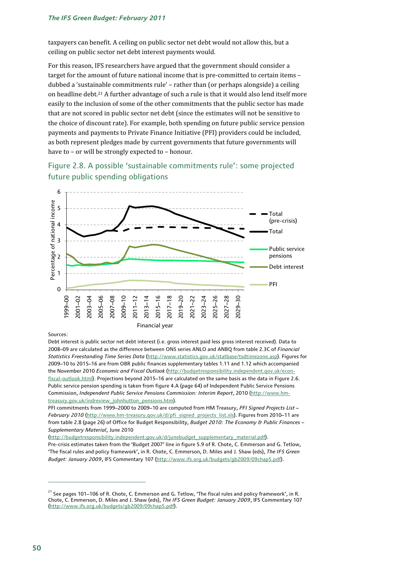taxpayers can benefit. A ceiling on public sector net debt would not allow this, but a ceiling on public sector net debt interest payments would.

For this reason, IFS researchers have argued that the government should consider a target for the amount of future national income that is pre-committed to certain items – dubbed a 'sustainable commitments rule' – rather than (or perhaps alongside) a ceiling on headline debt.21 A further advantage of such a rule is that it would also lend itself more easily to the inclusion of some of the other commitments that the public sector has made that are not scored in public sector net debt (since the estimates will not be sensitive to the choice of discount rate). For example, both spending on future public service pension payments and payments to Private Finance Initiative (PFI) providers could be included, as both represent pledges made by current governments that future governments will have to – or will be strongly expected to – honour.





#### Sources:

Debt interest is public sector net debt interest (i.e. gross interest paid less gross interest received). Data to 2008–09 are calculated as the difference between ONS series ANLO and ANBQ from table 2.3C of *Financial Statistics Freestanding Time Series Data* (http://www.statistics.gov.uk/statbase/tsdtimezone.asp). Figures for 2009–10 to 2015–16 are from OBR public finances supplementary tables 1.11 and 1.12 which accompanied the November 2010 *Economic and Fiscal Outlook* (http://budgetresponsibility.independent.gov.uk/econfiscal-outlook.html). Projections beyond 2015–16 are calculated on the same basis as the data in Figure 2.6. Public service pension spending is taken from figure 4.A (page 64) of Independent Public Service Pensions Commission, *Independent Public Service Pensions Commission: Interim Report*, 2010 (http://www.hmtreasury.gov.uk/indreview\_johnhutton\_pensions.htm).

PFI commitments from 1999–2000 to 2009–10 are computed from HM Treasury, *PFI Signed Projects List –*  February 2010 (http://www.hm-treasury.gov.uk/d/pfi\_signed\_projects\_list.xls). Figures from 2010–11 are from table 2.8 (page 26) of Office for Budget Responsibility, *Budget 2010: The Economy & Public Finances – Supplementary Material*, June 2010

(http://budgetresponsibility.independent.gov.uk/d/junebudget\_supplementary\_material.pdf).

Pre-crisis estimates taken from the 'Budget 2007' line in figure 5.9 of R. Chote, C. Emmerson and G. Tetlow, 'The fiscal rules and policy framework', in R. Chote, C. Emmerson, D. Miles and J. Shaw (eds), *The IFS Green Budget: January 2009*, IFS Commentary 107 (http://www.ifs.org.uk/budgets/gb2009/09chap5.pdf).

<sup>&</sup>lt;sup>21</sup> See pages 101–106 of R. Chote, C. Emmerson and G. Tetlow, 'The fiscal rules and policy framework', in R. Chote, C. Emmerson, D. Miles and J. Shaw (eds), *The IFS Green Budget: January 2009*, IFS Commentary 107 (http://www.ifs.org.uk/budgets/gb2009/09chap5.pdf).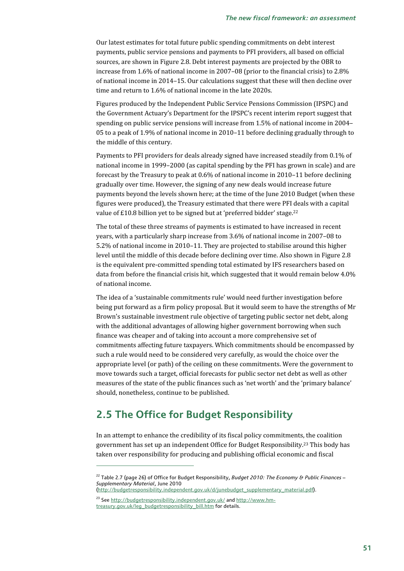Our latest estimates for total future public spending commitments on debt interest payments, public service pensions and payments to PFI providers, all based on official sources, are shown in Figure 2.8. Debt interest payments are projected by the OBR to increase from 1.6% of national income in 2007–08 (prior to the financial crisis) to 2.8% of national income in 2014–15. Our calculations suggest that these will then decline over time and return to 1.6% of national income in the late 2020s.

Figures produced by the Independent Public Service Pensions Commission (IPSPC) and the Government Actuary's Department for the IPSPC's recent interim report suggest that spending on public service pensions will increase from 1.5% of national income in 2004– 05 to a peak of 1.9% of national income in 2010–11 before declining gradually through to the middle of this century.

Payments to PFI providers for deals already signed have increased steadily from 0.1% of national income in 1999–2000 (as capital spending by the PFI has grown in scale) and are forecast by the Treasury to peak at 0.6% of national income in 2010–11 before declining gradually over time. However, the signing of any new deals would increase future payments beyond the levels shown here; at the time of the June 2010 Budget (when these figures were produced), the Treasury estimated that there were PFI deals with a capital value of £10.8 billion yet to be signed but at 'preferred bidder' stage.<sup>22</sup>

The total of these three streams of payments is estimated to have increased in recent years, with a particularly sharp increase from 3.6% of national income in 2007–08 to 5.2% of national income in 2010–11. They are projected to stabilise around this higher level until the middle of this decade before declining over time. Also shown in Figure 2.8 is the equivalent pre-committed spending total estimated by IFS researchers based on data from before the financial crisis hit, which suggested that it would remain below 4.0% of national income.

The idea of a 'sustainable commitments rule' would need further investigation before being put forward as a firm policy proposal. But it would seem to have the strengths of Mr Brown's sustainable investment rule objective of targeting public sector net debt, along with the additional advantages of allowing higher government borrowing when such finance was cheaper and of taking into account a more comprehensive set of commitments affecting future taxpayers. Which commitments should be encompassed by such a rule would need to be considered very carefully, as would the choice over the appropriate level (or path) of the ceiling on these commitments. Were the government to move towards such a target, official forecasts for public sector net debt as well as other measures of the state of the public finances such as 'net worth' and the 'primary balance' should, nonetheless, continue to be published.

## **2.5 The Office for Budget Responsibility**

In an attempt to enhance the credibility of its fiscal policy commitments, the coalition government has set up an independent Office for Budget Responsibility.23 This body has taken over responsibility for producing and publishing official economic and fiscal

<sup>&</sup>lt;sup>22</sup> Table 2.7 (page 26) of Office for Budget Responsibility, *Budget 2010: The Economy & Public Finances* – *Supplementary Material*, June 2010

<sup>(</sup>http://budgetresponsibility.independent.gov.uk/d/junebudget\_supplementary\_material.pdf).

<sup>&</sup>lt;sup>23</sup> See http://budgetresponsibility.independent.gov.uk/ and http://www.hmtreasury.gov.uk/leg\_budgetresponsibility\_bill.htm for details.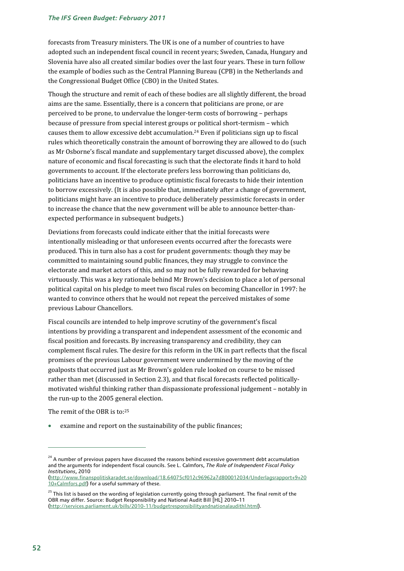forecasts from Treasury ministers. The UK is one of a number of countries to have adopted such an independent fiscal council in recent years; Sweden, Canada, Hungary and Slovenia have also all created similar bodies over the last four years. These in turn follow the example of bodies such as the Central Planning Bureau (CPB) in the Netherlands and the Congressional Budget Office (CBO) in the United States.

Though the structure and remit of each of these bodies are all slightly different, the broad aims are the same. Essentially, there is a concern that politicians are prone, or are perceived to be prone, to undervalue the longer-term costs of borrowing – perhaps because of pressure from special interest groups or political short-termism – which causes them to allow excessive debt accumulation.24 Even if politicians sign up to fiscal rules which theoretically constrain the amount of borrowing they are allowed to do (such as Mr Osborne's fiscal mandate and supplementary target discussed above), the complex nature of economic and fiscal forecasting is such that the electorate finds it hard to hold governments to account. If the electorate prefers less borrowing than politicians do, politicians have an incentive to produce optimistic fiscal forecasts to hide their intention to borrow excessively. (It is also possible that, immediately after a change of government, politicians might have an incentive to produce deliberately pessimistic forecasts in order to increase the chance that the new government will be able to announce better-thanexpected performance in subsequent budgets.)

Deviations from forecasts could indicate either that the initial forecasts were intentionally misleading or that unforeseen events occurred after the forecasts were produced. This in turn also has a cost for prudent governments: though they may be committed to maintaining sound public finances, they may struggle to convince the electorate and market actors of this, and so may not be fully rewarded for behaving virtuously. This was a key rationale behind Mr Brown's decision to place a lot of personal political capital on his pledge to meet two fiscal rules on becoming Chancellor in 1997: he wanted to convince others that he would not repeat the perceived mistakes of some previous Labour Chancellors.

Fiscal councils are intended to help improve scrutiny of the government's fiscal intentions by providing a transparent and independent assessment of the economic and fiscal position and forecasts. By increasing transparency and credibility, they can complement fiscal rules. The desire for this reform in the UK in part reflects that the fiscal promises of the previous Labour government were undermined by the moving of the goalposts that occurred just as Mr Brown's golden rule looked on course to be missed rather than met (discussed in Section 2.3), and that fiscal forecasts reflected politicallymotivated wishful thinking rather than dispassionate professional judgement – notably in the run-up to the 2005 general election.

The remit of the OBR is to:25

examine and report on the sustainability of the public finances;

<sup>&</sup>lt;sup>24</sup> A number of previous papers have discussed the reasons behind excessive government debt accumulation and the arguments for independent fiscal councils. See L. Calmfors, *The Role of Independent Fiscal Policy Institutions*, 2010 (http://www.finanspolitiskaradet.se/download/18.64075cf012c96962a7d800012034/Underlagsrapport+9+20

<sup>10+</sup>Calmfors.pdf) for a useful summary of these.

<sup>&</sup>lt;sup>25</sup> This list is based on the wording of legislation currently going through parliament. The final remit of the OBR may differ. Source: Budget Responsibility and National Audit Bill [HL] 2010–11 (http://services.parliament.uk/bills/2010-11/budgetresponsibilityandnationalaudithl.html).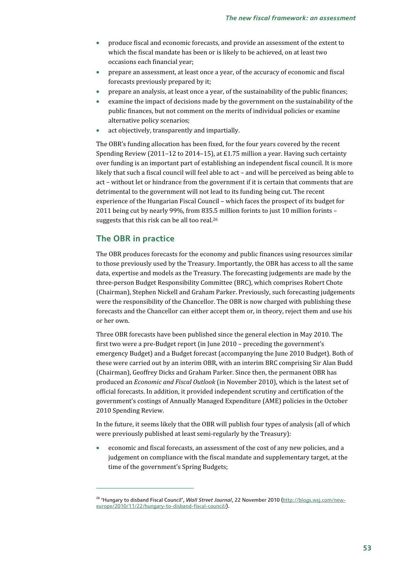- produce fiscal and economic forecasts, and provide an assessment of the extent to which the fiscal mandate has been or is likely to be achieved, on at least two occasions each financial year;
- prepare an assessment, at least once a year, of the accuracy of economic and fiscal forecasts previously prepared by it;
- prepare an analysis, at least once a year, of the sustainability of the public finances;
- examine the impact of decisions made by the government on the sustainability of the public finances, but not comment on the merits of individual policies or examine alternative policy scenarios;
- act objectively, transparently and impartially.

The OBR's funding allocation has been fixed, for the four years covered by the recent Spending Review (2011–12 to 2014–15), at £1.75 million a year. Having such certainty over funding is an important part of establishing an independent fiscal council. It is more likely that such a fiscal council will feel able to act – and will be perceived as being able to act – without let or hindrance from the government if it is certain that comments that are detrimental to the government will not lead to its funding being cut. The recent experience of the Hungarian Fiscal Council – which faces the prospect of its budget for 2011 being cut by nearly 99%, from 835.5 million forints to just 10 million forints – suggests that this risk can be all too real.26

## **The OBR in practice**

1

The OBR produces forecasts for the economy and public finances using resources similar to those previously used by the Treasury. Importantly, the OBR has access to all the same data, expertise and models as the Treasury. The forecasting judgements are made by the three-person Budget Responsibility Committee (BRC), which comprises Robert Chote (Chairman), Stephen Nickell and Graham Parker. Previously, such forecasting judgements were the responsibility of the Chancellor. The OBR is now charged with publishing these forecasts and the Chancellor can either accept them or, in theory, reject them and use his or her own.

Three OBR forecasts have been published since the general election in May 2010. The first two were a pre-Budget report (in June 2010 – preceding the government's emergency Budget) and a Budget forecast (accompanying the June 2010 Budget). Both of these were carried out by an interim OBR, with an interim BRC comprising Sir Alan Budd (Chairman), Geoffrey Dicks and Graham Parker. Since then, the permanent OBR has produced an *Economic and Fiscal Outlook* (in November 2010), which is the latest set of official forecasts. In addition, it provided independent scrutiny and certification of the government's costings of Annually Managed Expenditure (AME) policies in the October 2010 Spending Review.

In the future, it seems likely that the OBR will publish four types of analysis (all of which were previously published at least semi-regularly by the Treasury):

• economic and fiscal forecasts, an assessment of the cost of any new policies, and a judgement on compliance with the fiscal mandate and supplementary target, at the time of the government's Spring Budgets;

<sup>26 &#</sup>x27;Hungary to disband Fiscal Council', *Wall Street Journal*, 22 November 2010 (http://blogs.wsj.com/neweurope/2010/11/22/hungary-to-disband-fiscal-council/).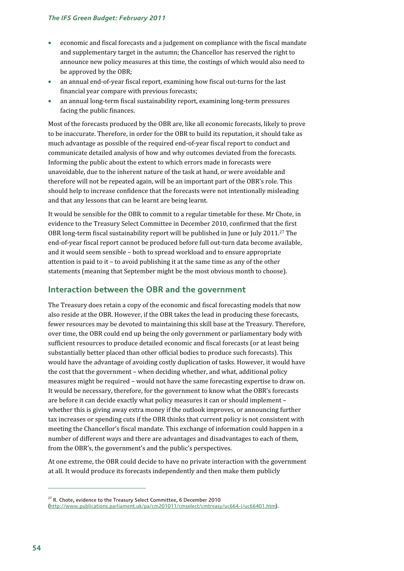- economic and fiscal forecasts and a judgement on compliance with the fiscal mandate and supplementary target in the autumn; the Chancellor has reserved the right to announce new policy measures at this time, the costings of which would also need to be approved by the OBR;
- an annual end-of-year fiscal report, examining how fiscal out-turns for the last financial year compare with previous forecasts;
- an annual long-term fiscal sustainability report, examining long-term pressures facing the public finances.

Most of the forecasts produced by the OBR are, like all economic forecasts, likely to prove to be inaccurate. Therefore, in order for the OBR to build its reputation, it should take as much advantage as possible of the required end-of-year fiscal report to conduct and communicate detailed analysis of how and why outcomes deviated from the forecasts. Informing the public about the extent to which errors made in forecasts were unavoidable, due to the inherent nature of the task at hand, or were avoidable and therefore will not be repeated again, will be an important part of the OBR's role. This should help to increase confidence that the forecasts were not intentionally misleading and that any lessons that can be learnt are being learnt.

It would be sensible for the OBR to commit to a regular timetable for these. Mr Chote, in evidence to the Treasury Select Committee in December 2010, confirmed that the first OBR long-term fiscal sustainability report will be published in June or July 2011.27 The end-of-year fiscal report cannot be produced before full out-turn data become available, and it would seem sensible – both to spread workload and to ensure appropriate attention is paid to it – to avoid publishing it at the same time as any of the other statements (meaning that September might be the most obvious month to choose).

## **Interaction between the OBR and the government**

The Treasury does retain a copy of the economic and fiscal forecasting models that now also reside at the OBR. However, if the OBR takes the lead in producing these forecasts, fewer resources may be devoted to maintaining this skill base at the Treasury. Therefore, over time, the OBR could end up being the only government or parliamentary body with sufficient resources to produce detailed economic and fiscal forecasts (or at least being substantially better placed than other official bodies to produce such forecasts). This would have the advantage of avoiding costly duplication of tasks. However, it would have the cost that the government – when deciding whether, and what, additional policy measures might be required – would not have the same forecasting expertise to draw on. It would be necessary, therefore, for the government to know what the OBR's forecasts are before it can decide exactly what policy measures it can or should implement – whether this is giving away extra money if the outlook improves, or announcing further tax increases or spending cuts if the OBR thinks that current policy is not consistent with meeting the Chancellor's fiscal mandate. This exchange of information could happen in a number of different ways and there are advantages and disadvantages to each of them, from the OBR's, the government's and the public's perspectives.

At one extreme, the OBR could decide to have no private interaction with the government at all. It would produce its forecasts independently and then make them publicly

<sup>&</sup>lt;sup>27</sup> R. Chote, evidence to the Treasury Select Committee, 6 December 2010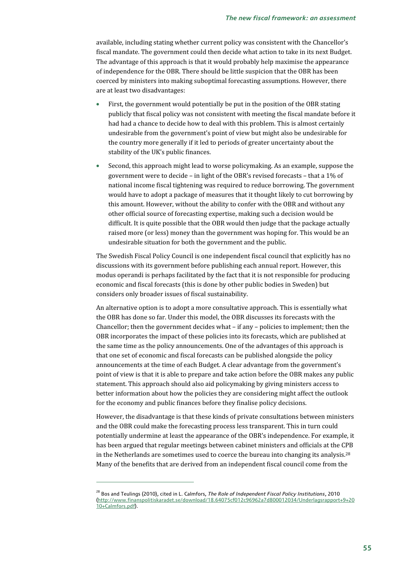available, including stating whether current policy was consistent with the Chancellor's fiscal mandate. The government could then decide what action to take in its next Budget. The advantage of this approach is that it would probably help maximise the appearance of independence for the OBR. There should be little suspicion that the OBR has been coerced by ministers into making suboptimal forecasting assumptions. However, there are at least two disadvantages:

- First, the government would potentially be put in the position of the OBR stating publicly that fiscal policy was not consistent with meeting the fiscal mandate before it had had a chance to decide how to deal with this problem. This is almost certainly undesirable from the government's point of view but might also be undesirable for the country more generally if it led to periods of greater uncertainty about the stability of the UK's public finances.
- Second, this approach might lead to worse policymaking. As an example, suppose the government were to decide – in light of the OBR's revised forecasts – that a 1% of national income fiscal tightening was required to reduce borrowing. The government would have to adopt a package of measures that it thought likely to cut borrowing by this amount. However, without the ability to confer with the OBR and without any other official source of forecasting expertise, making such a decision would be difficult. It is quite possible that the OBR would then judge that the package actually raised more (or less) money than the government was hoping for. This would be an undesirable situation for both the government and the public.

The Swedish Fiscal Policy Council is one independent fiscal council that explicitly has no discussions with its government before publishing each annual report. However, this modus operandi is perhaps facilitated by the fact that it is not responsible for producing economic and fiscal forecasts (this is done by other public bodies in Sweden) but considers only broader issues of fiscal sustainability.

An alternative option is to adopt a more consultative approach. This is essentially what the OBR has done so far. Under this model, the OBR discusses its forecasts with the Chancellor; then the government decides what – if any – policies to implement; then the OBR incorporates the impact of these policies into its forecasts, which are published at the same time as the policy announcements. One of the advantages of this approach is that one set of economic and fiscal forecasts can be published alongside the policy announcements at the time of each Budget. A clear advantage from the government's point of view is that it is able to prepare and take action before the OBR makes any public statement. This approach should also aid policymaking by giving ministers access to better information about how the policies they are considering might affect the outlook for the economy and public finances before they finalise policy decisions.

However, the disadvantage is that these kinds of private consultations between ministers and the OBR could make the forecasting process less transparent. This in turn could potentially undermine at least the appearance of the OBR's independence. For example, it has been argued that regular meetings between cabinet ministers and officials at the CPB in the Netherlands are sometimes used to coerce the bureau into changing its analysis.28 Many of the benefits that are derived from an independent fiscal council come from the

<sup>28</sup> Bos and Teulings (2010), cited in L. Calmfors, *The Role of Independent Fiscal Policy Institutions*, 2010 (http://www.finanspolitiskaradet.se/download/18.64075cf012c96962a7d800012034/Underlagsrapport+9+20 10+Calmfors.pdf).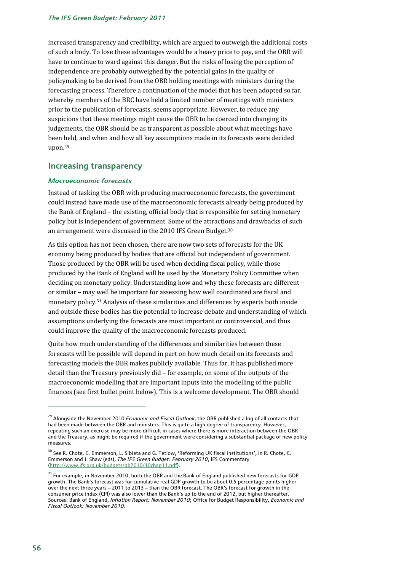increased transparency and credibility, which are argued to outweigh the additional costs of such a body. To lose these advantages would be a heavy price to pay, and the OBR will have to continue to ward against this danger. But the risks of losing the perception of independence are probably outweighed by the potential gains in the quality of policymaking to be derived from the OBR holding meetings with ministers during the forecasting process. Therefore a continuation of the model that has been adopted so far, whereby members of the BRC have held a limited number of meetings with ministers prior to the publication of forecasts, seems appropriate. However, to reduce any suspicions that these meetings might cause the OBR to be coerced into changing its judgements, the OBR should be as transparent as possible about what meetings have been held, and when and how all key assumptions made in its forecasts were decided upon.29

## **Increasing transparency**

### *Macroeconomic forecasts*

Instead of tasking the OBR with producing macroeconomic forecasts, the government could instead have made use of the macroeconomic forecasts already being produced by the Bank of England – the existing, official body that is responsible for setting monetary policy but is independent of government. Some of the attractions and drawbacks of such an arrangement were discussed in the 2010 IFS Green Budget.<sup>30</sup>

As this option has not been chosen, there are now two sets of forecasts for the UK economy being produced by bodies that are official but independent of government. Those produced by the OBR will be used when deciding fiscal policy, while those produced by the Bank of England will be used by the Monetary Policy Committee when deciding on monetary policy. Understanding how and why these forecasts are different – or similar – may well be important for assessing how well coordinated are fiscal and monetary policy.31 Analysis of these similarities and differences by experts both inside and outside these bodies has the potential to increase debate and understanding of which assumptions underlying the forecasts are most important or controversial, and thus could improve the quality of the macroeconomic forecasts produced.

Quite how much understanding of the differences and similarities between these forecasts will be possible will depend in part on how much detail on its forecasts and forecasting models the OBR makes publicly available. Thus far, it has published more detail than the Treasury previously did – for example, on some of the outputs of the macroeconomic modelling that are important inputs into the modelling of the public finances (see first bullet point below). This is a welcome development. The OBR should

 $\overline{a}$ 

<sup>29</sup> Alongside the November 2010 *Economic and Fiscal Outlook*, the OBR published a log of all contacts that had been made between the OBR and ministers. This is quite a high degree of transparency. However, repeating such an exercise may be more difficult in cases where there is more interaction between the OBR and the Treasury, as might be required if the government were considering a substantial package of new policy measures.

<sup>&</sup>lt;sup>30</sup> See R. Chote, C. Emmerson, L. Sibieta and G. Tetlow, 'Reforming UK fiscal institutions', in R. Chote, C. Emmerson and J. Shaw (eds), *The IFS Green Budget: February 2010*, IFS Commentary (http://www.ifs.org.uk/budgets/gb2010/10chap11.pdf).

 $31$  For example, in November 2010, both the OBR and the Bank of England published new forecasts for GDP growth. The Bank's forecast was for cumulative real GDP growth to be about 0.5 percentage points higher over the next three years - 2011 to 2013 - than the OBR forecast. The OBR's forecast for growth in the consumer price index (CPI) was also lower than the Bank's up to the end of 2012, but higher thereafter. Sources: Bank of England, *Inflation Report: November 2010*; Office for Budget Responsibility, *Economic and Fiscal Outlook: November 2010*.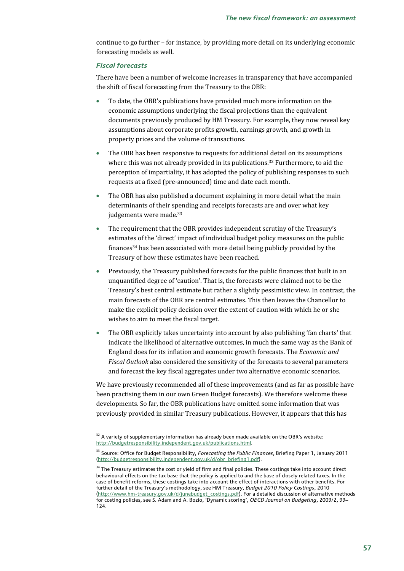continue to go further – for instance, by providing more detail on its underlying economic forecasting models as well.

### *Fiscal forecasts*

1

There have been a number of welcome increases in transparency that have accompanied the shift of fiscal forecasting from the Treasury to the OBR:

- To date, the OBR's publications have provided much more information on the economic assumptions underlying the fiscal projections than the equivalent documents previously produced by HM Treasury. For example, they now reveal key assumptions about corporate profits growth, earnings growth, and growth in property prices and the volume of transactions.
- The OBR has been responsive to requests for additional detail on its assumptions where this was not already provided in its publications.<sup>32</sup> Furthermore, to aid the perception of impartiality, it has adopted the policy of publishing responses to such requests at a fixed (pre-announced) time and date each month.
- The OBR has also published a document explaining in more detail what the main determinants of their spending and receipts forecasts are and over what key judgements were made.<sup>33</sup>
- The requirement that the OBR provides independent scrutiny of the Treasury's estimates of the 'direct' impact of individual budget policy measures on the public finances34 has been associated with more detail being publicly provided by the Treasury of how these estimates have been reached.
- Previously, the Treasury published forecasts for the public finances that built in an unquantified degree of 'caution'. That is, the forecasts were claimed not to be the Treasury's best central estimate but rather a slightly pessimistic view. In contrast, the main forecasts of the OBR are central estimates. This then leaves the Chancellor to make the explicit policy decision over the extent of caution with which he or she wishes to aim to meet the fiscal target.
- The OBR explicitly takes uncertainty into account by also publishing 'fan charts' that indicate the likelihood of alternative outcomes, in much the same way as the Bank of England does for its inflation and economic growth forecasts. The *Economic and Fiscal Outlook* also considered the sensitivity of the forecasts to several parameters and forecast the key fiscal aggregates under two alternative economic scenarios.

We have previously recommended all of these improvements (and as far as possible have been practising them in our own Green Budget forecasts). We therefore welcome these developments. So far, the OBR publications have omitted some information that was previously provided in similar Treasury publications. However, it appears that this has

 $32$  A variety of supplementary information has already been made available on the OBR's website: http://budgetresponsibility.independent.gov.uk/publications.html.

<sup>&</sup>lt;sup>33</sup> Source: Office for Budget Responsibility, *Forecasting the Public Finances*, Briefing Paper 1, January 2011 (http://budgetresponsibility.independent.gov.uk/d/obr\_briefing1.pdf).

<sup>&</sup>lt;sup>34</sup> The Treasury estimates the cost or yield of firm and final policies. These costings take into account direct behavioural effects on the tax base that the policy is applied to and the base of closely related taxes. In the case of benefit reforms, these costings take into account the effect of interactions with other benefits. For further detail of the Treasury's methodology, see HM Treasury, *Budget 2010 Policy Costings*, 2010 (http://www.hm-treasury.gov.uk/d/junebudget\_costings.pdf). For a detailed discussion of alternative methods for costing policies, see S. Adam and A. Bozio, 'Dynamic scoring', *OECD Journal on Budgeting*, 2009/2, 99– 124.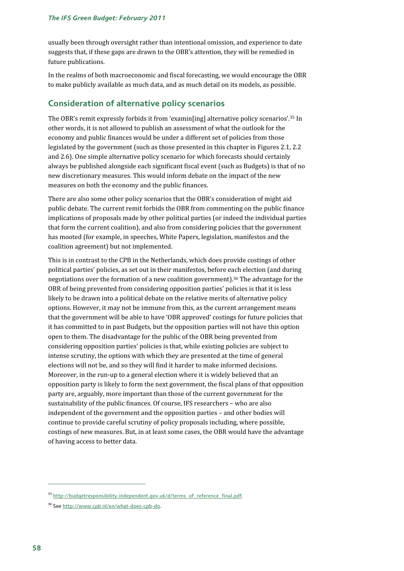usually been through oversight rather than intentional omission, and experience to date suggests that, if these gaps are drawn to the OBR's attention, they will be remedied in future publications.

In the realms of both macroeconomic and fiscal forecasting, we would encourage the OBR to make publicly available as much data, and as much detail on its models, as possible.

## **Consideration of alternative policy scenarios**

The OBR's remit expressly forbids it from 'examin[ing] alternative policy scenarios'.35 In other words, it is not allowed to publish an assessment of what the outlook for the economy and public finances would be under a different set of policies from those legislated by the government (such as those presented in this chapter in Figures 2.1, 2.2 and 2.6). One simple alternative policy scenario for which forecasts should certainly always be published alongside each significant fiscal event (such as Budgets) is that of no new discretionary measures. This would inform debate on the impact of the new measures on both the economy and the public finances.

There are also some other policy scenarios that the OBR's consideration of might aid public debate. The current remit forbids the OBR from commenting on the public finance implications of proposals made by other political parties (or indeed the individual parties that form the current coalition), and also from considering policies that the government has mooted (for example, in speeches, White Papers, legislation, manifestos and the coalition agreement) but not implemented.

This is in contrast to the CPB in the Netherlands, which does provide costings of other political parties' policies, as set out in their manifestos, before each election (and during negotiations over the formation of a new coalition government).36 The advantage for the OBR of being prevented from considering opposition parties' policies is that it is less likely to be drawn into a political debate on the relative merits of alternative policy options. However, it may not be immune from this, as the current arrangement means that the government will be able to have 'OBR approved' costings for future policies that it has committed to in past Budgets, but the opposition parties will not have this option open to them. The disadvantage for the public of the OBR being prevented from considering opposition parties' policies is that, while existing policies are subject to intense scrutiny, the options with which they are presented at the time of general elections will not be, and so they will find it harder to make informed decisions. Moreover, in the run-up to a general election where it is widely believed that an opposition party is likely to form the next government, the fiscal plans of that opposition party are, arguably, more important than those of the current government for the sustainability of the public finances. Of course, IFS researchers – who are also independent of the government and the opposition parties – and other bodies will continue to provide careful scrutiny of policy proposals including, where possible, costings of new measures. But, in at least some cases, the OBR would have the advantage of having access to better data.

<sup>&</sup>lt;sup>35</sup> http://budgetresponsibility.independent.gov.uk/d/terms\_of\_reference\_final.pdf.

<sup>36</sup> See http://www.cpb.nl/en/what-does-cpb-do.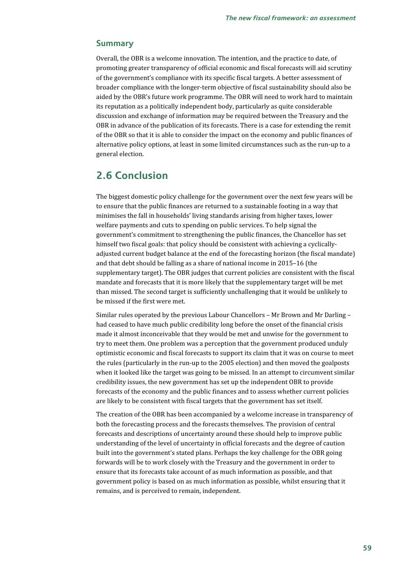### **Summary**

Overall, the OBR is a welcome innovation. The intention, and the practice to date, of promoting greater transparency of official economic and fiscal forecasts will aid scrutiny of the government's compliance with its specific fiscal targets. A better assessment of broader compliance with the longer-term objective of fiscal sustainability should also be aided by the OBR's future work programme. The OBR will need to work hard to maintain its reputation as a politically independent body, particularly as quite considerable discussion and exchange of information may be required between the Treasury and the OBR in advance of the publication of its forecasts. There is a case for extending the remit of the OBR so that it is able to consider the impact on the economy and public finances of alternative policy options, at least in some limited circumstances such as the run-up to a general election.

## **2.6 Conclusion**

The biggest domestic policy challenge for the government over the next few years will be to ensure that the public finances are returned to a sustainable footing in a way that minimises the fall in households' living standards arising from higher taxes, lower welfare payments and cuts to spending on public services. To help signal the government's commitment to strengthening the public finances, the Chancellor has set himself two fiscal goals: that policy should be consistent with achieving a cyclicallyadjusted current budget balance at the end of the forecasting horizon (the fiscal mandate) and that debt should be falling as a share of national income in 2015–16 (the supplementary target). The OBR judges that current policies are consistent with the fiscal mandate and forecasts that it is more likely that the supplementary target will be met than missed. The second target is sufficiently unchallenging that it would be unlikely to be missed if the first were met.

Similar rules operated by the previous Labour Chancellors – Mr Brown and Mr Darling – had ceased to have much public credibility long before the onset of the financial crisis made it almost inconceivable that they would be met and unwise for the government to try to meet them. One problem was a perception that the government produced unduly optimistic economic and fiscal forecasts to support its claim that it was on course to meet the rules (particularly in the run-up to the 2005 election) and then moved the goalposts when it looked like the target was going to be missed. In an attempt to circumvent similar credibility issues, the new government has set up the independent OBR to provide forecasts of the economy and the public finances and to assess whether current policies are likely to be consistent with fiscal targets that the government has set itself.

The creation of the OBR has been accompanied by a welcome increase in transparency of both the forecasting process and the forecasts themselves. The provision of central forecasts and descriptions of uncertainty around these should help to improve public understanding of the level of uncertainty in official forecasts and the degree of caution built into the government's stated plans. Perhaps the key challenge for the OBR going forwards will be to work closely with the Treasury and the government in order to ensure that its forecasts take account of as much information as possible, and that government policy is based on as much information as possible, whilst ensuring that it remains, and is perceived to remain, independent.